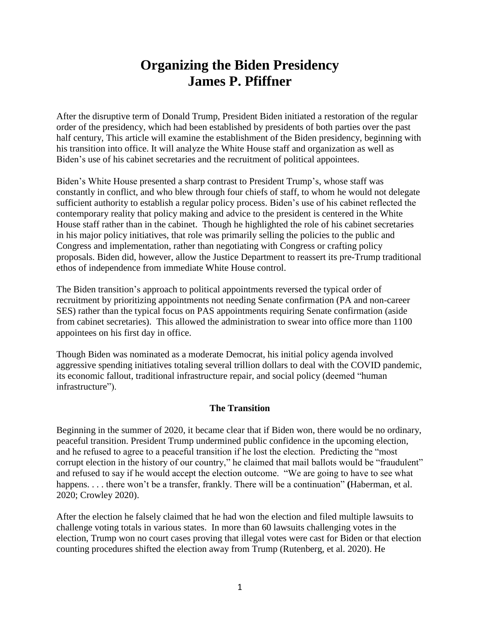# **Organizing the Biden Presidency James P. Pfiffner**

After the disruptive term of Donald Trump, President Biden initiated a restoration of the regular order of the presidency, which had been established by presidents of both parties over the past half century, This article will examine the establishment of the Biden presidency, beginning with his transition into office. It will analyze the White House staff and organization as well as Biden's use of his cabinet secretaries and the recruitment of political appointees.

Biden's White House presented a sharp contrast to President Trump's, whose staff was constantly in conflict, and who blew through four chiefs of staff, to whom he would not delegate sufficient authority to establish a regular policy process. Biden's use of his cabinet reflected the contemporary reality that policy making and advice to the president is centered in the White House staff rather than in the cabinet. Though he highlighted the role of his cabinet secretaries in his major policy initiatives, that role was primarily selling the policies to the public and Congress and implementation, rather than negotiating with Congress or crafting policy proposals. Biden did, however, allow the Justice Department to reassert its pre-Trump traditional ethos of independence from immediate White House control.

The Biden transition's approach to political appointments reversed the typical order of recruitment by prioritizing appointments not needing Senate confirmation (PA and non-career SES) rather than the typical focus on PAS appointments requiring Senate confirmation (aside from cabinet secretaries). This allowed the administration to swear into office more than 1100 appointees on his first day in office.

Though Biden was nominated as a moderate Democrat, his initial policy agenda involved aggressive spending initiatives totaling several trillion dollars to deal with the COVID pandemic, its economic fallout, traditional infrastructure repair, and social policy (deemed "human infrastructure").

## **The Transition**

Beginning in the summer of 2020, it became clear that if Biden won, there would be no ordinary, peaceful transition. President Trump undermined public confidence in the upcoming election, and he refused to agree to a peaceful transition if he lost the election. Predicting the "most corrupt election in the history of our country," he claimed that mail ballots would be "fraudulent" and refused to say if he would accept the election outcome. "We are going to have to see what happens. . . . there won't be a transfer, frankly. There will be a continuation" **(**Haberman, et al. 2020; Crowley 2020).

After the election he falsely claimed that he had won the election and filed multiple lawsuits to challenge voting totals in various states. In more than 60 lawsuits challenging votes in the election, Trump won no court cases proving that illegal votes were cast for Biden or that election counting procedures shifted the election away from Trump (Rutenberg, et al. 2020). He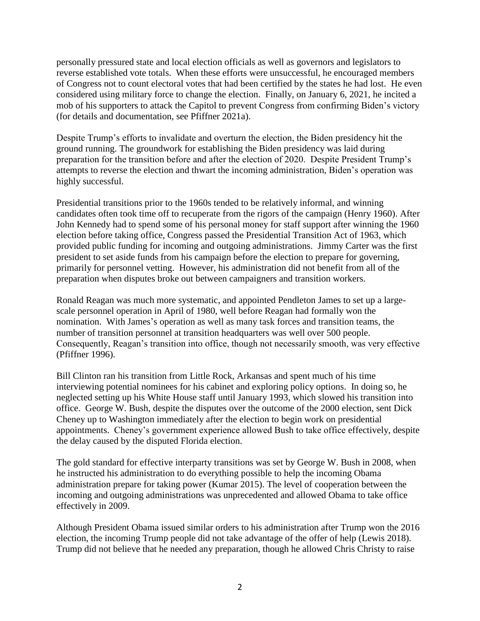personally pressured state and local election officials as well as governors and legislators to reverse established vote totals. When these efforts were unsuccessful, he encouraged members of Congress not to count electoral votes that had been certified by the states he had lost. He even considered using military force to change the election. Finally, on January 6, 2021, he incited a mob of his supporters to attack the Capitol to prevent Congress from confirming Biden's victory (for details and documentation, see Pfiffner 2021a).

Despite Trump's efforts to invalidate and overturn the election, the Biden presidency hit the ground running. The groundwork for establishing the Biden presidency was laid during preparation for the transition before and after the election of 2020. Despite President Trump's attempts to reverse the election and thwart the incoming administration, Biden's operation was highly successful.

Presidential transitions prior to the 1960s tended to be relatively informal, and winning candidates often took time off to recuperate from the rigors of the campaign (Henry 1960). After John Kennedy had to spend some of his personal money for staff support after winning the 1960 election before taking office, Congress passed the Presidential Transition Act of 1963, which provided public funding for incoming and outgoing administrations. Jimmy Carter was the first president to set aside funds from his campaign before the election to prepare for governing, primarily for personnel vetting. However, his administration did not benefit from all of the preparation when disputes broke out between campaigners and transition workers.

Ronald Reagan was much more systematic, and appointed Pendleton James to set up a largescale personnel operation in April of 1980, well before Reagan had formally won the nomination. With James's operation as well as many task forces and transition teams, the number of transition personnel at transition headquarters was well over 500 people. Consequently, Reagan's transition into office, though not necessarily smooth, was very effective (Pfiffner 1996).

Bill Clinton ran his transition from Little Rock, Arkansas and spent much of his time interviewing potential nominees for his cabinet and exploring policy options. In doing so, he neglected setting up his White House staff until January 1993, which slowed his transition into office. George W. Bush, despite the disputes over the outcome of the 2000 election, sent Dick Cheney up to Washington immediately after the election to begin work on presidential appointments. Cheney's government experience allowed Bush to take office effectively, despite the delay caused by the disputed Florida election.

The gold standard for effective interparty transitions was set by George W. Bush in 2008, when he instructed his administration to do everything possible to help the incoming Obama administration prepare for taking power (Kumar 2015). The level of cooperation between the incoming and outgoing administrations was unprecedented and allowed Obama to take office effectively in 2009.

Although President Obama issued similar orders to his administration after Trump won the 2016 election, the incoming Trump people did not take advantage of the offer of help (Lewis 2018). Trump did not believe that he needed any preparation, though he allowed Chris Christy to raise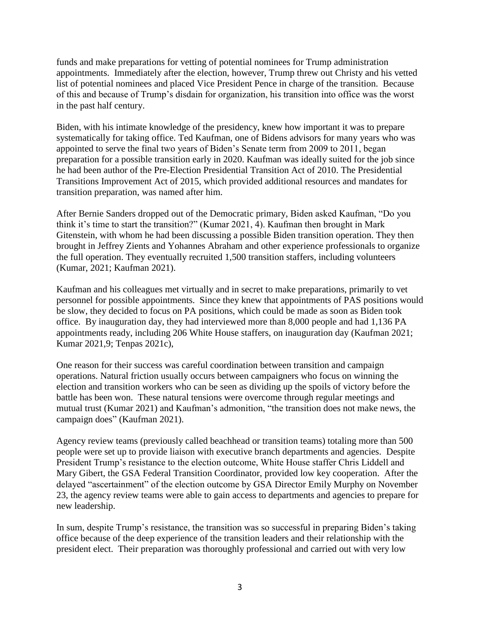funds and make preparations for vetting of potential nominees for Trump administration appointments. Immediately after the election, however, Trump threw out Christy and his vetted list of potential nominees and placed Vice President Pence in charge of the transition. Because of this and because of Trump's disdain for organization, his transition into office was the worst in the past half century.

Biden, with his intimate knowledge of the presidency, knew how important it was to prepare systematically for taking office. Ted Kaufman, one of Bidens advisors for many years who was appointed to serve the final two years of Biden's Senate term from 2009 to 2011, began preparation for a possible transition early in 2020. Kaufman was ideally suited for the job since he had been author of the Pre-Election Presidential Transition Act of 2010. The Presidential Transitions Improvement Act of 2015, which provided additional resources and mandates for transition preparation, was named after him.

After Bernie Sanders dropped out of the Democratic primary, Biden asked Kaufman, "Do you think it's time to start the transition?" (Kumar 2021, 4). Kaufman then brought in Mark Gitenstein, with whom he had been discussing a possible Biden transition operation. They then brought in Jeffrey Zients and Yohannes Abraham and other experience professionals to organize the full operation. They eventually recruited 1,500 transition staffers, including volunteers (Kumar, 2021; Kaufman 2021).

Kaufman and his colleagues met virtually and in secret to make preparations, primarily to vet personnel for possible appointments. Since they knew that appointments of PAS positions would be slow, they decided to focus on PA positions, which could be made as soon as Biden took office. By inauguration day, they had interviewed more than 8,000 people and had 1,136 PA appointments ready, including 206 White House staffers, on inauguration day (Kaufman 2021; Kumar 2021,9; Tenpas 2021c),

One reason for their success was careful coordination between transition and campaign operations. Natural friction usually occurs between campaigners who focus on winning the election and transition workers who can be seen as dividing up the spoils of victory before the battle has been won. These natural tensions were overcome through regular meetings and mutual trust (Kumar 2021) and Kaufman's admonition, "the transition does not make news, the campaign does" (Kaufman 2021).

Agency review teams (previously called beachhead or transition teams) totaling more than 500 people were set up to provide liaison with executive branch departments and agencies. Despite President Trump's resistance to the election outcome, White House staffer Chris Liddell and Mary Gibert, the GSA Federal Transition Coordinator, provided low key cooperation. After the delayed "ascertainment" of the election outcome by GSA Director Emily Murphy on November 23, the agency review teams were able to gain access to departments and agencies to prepare for new leadership.

In sum, despite Trump's resistance, the transition was so successful in preparing Biden's taking office because of the deep experience of the transition leaders and their relationship with the president elect. Their preparation was thoroughly professional and carried out with very low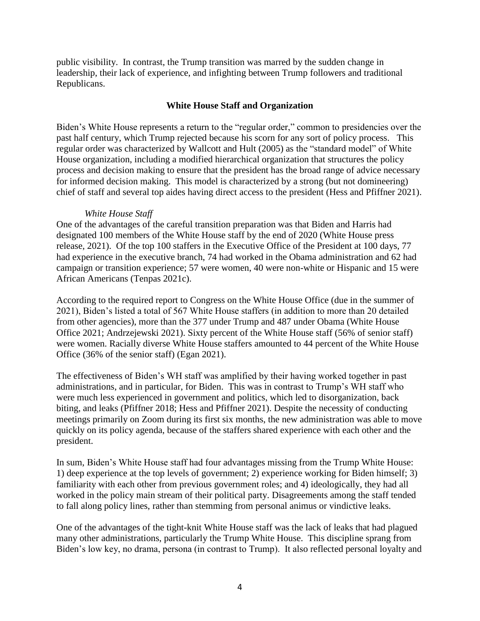public visibility. In contrast, the Trump transition was marred by the sudden change in leadership, their lack of experience, and infighting between Trump followers and traditional Republicans.

## **White House Staff and Organization**

Biden's White House represents a return to the "regular order," common to presidencies over the past half century, which Trump rejected because his scorn for any sort of policy process. This regular order was characterized by Wallcott and Hult (2005) as the "standard model" of White House organization, including a modified hierarchical organization that structures the policy process and decision making to ensure that the president has the broad range of advice necessary for informed decision making. This model is characterized by a strong (but not domineering) chief of staff and several top aides having direct access to the president (Hess and Pfiffner 2021).

## *White House Staff*

One of the advantages of the careful transition preparation was that Biden and Harris had designated 100 members of the White House staff by the end of 2020 (White House press release, 2021). Of the top 100 staffers in the Executive Office of the President at 100 days, 77 had experience in the executive branch, 74 had worked in the Obama administration and 62 had campaign or transition experience; 57 were women, 40 were non-white or Hispanic and 15 were African Americans (Tenpas 2021c).

According to the required report to Congress on the White House Office (due in the summer of 2021), Biden's listed a total of 567 White House staffers (in addition to more than 20 detailed from other agencies), more than the 377 under Trump and 487 under Obama (White House Office 2021; Andrzejewski 2021). Sixty percent of the White House staff (56% of senior staff) were women. Racially diverse White House staffers amounted to 44 percent of the White House Office (36% of the senior staff) (Egan 2021).

The effectiveness of Biden's WH staff was amplified by their having worked together in past administrations, and in particular, for Biden. This was in contrast to Trump's WH staff who were much less experienced in government and politics, which led to disorganization, back biting, and leaks (Pfiffner 2018; Hess and Pfiffner 2021). Despite the necessity of conducting meetings primarily on Zoom during its first six months, the new administration was able to move quickly on its policy agenda, because of the staffers shared experience with each other and the president.

In sum, Biden's White House staff had four advantages missing from the Trump White House: 1) deep experience at the top levels of government; 2) experience working for Biden himself; 3) familiarity with each other from previous government roles; and 4) ideologically, they had all worked in the policy main stream of their political party. Disagreements among the staff tended to fall along policy lines, rather than stemming from personal animus or vindictive leaks.

One of the advantages of the tight-knit White House staff was the lack of leaks that had plagued many other administrations, particularly the Trump White House. This discipline sprang from Biden's low key, no drama, persona (in contrast to Trump). It also reflected personal loyalty and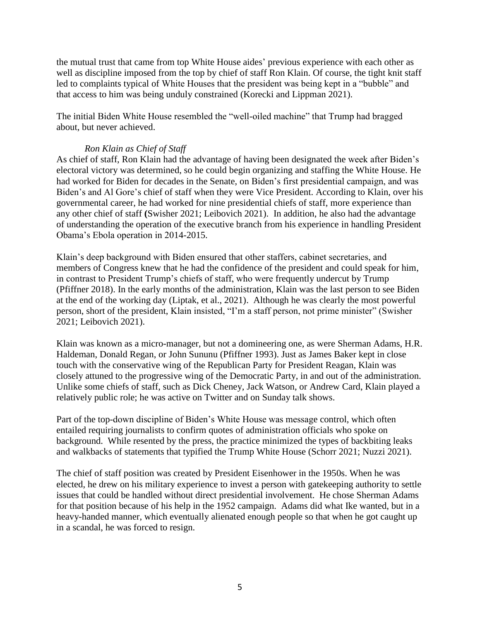the mutual trust that came from top White House aides' previous experience with each other as well as discipline imposed from the top by chief of staff Ron Klain. Of course, the tight knit staff led to complaints typical of White Houses that the president was being kept in a "bubble" and that access to him was being unduly constrained (Korecki and Lippman 2021).

The initial Biden White House resembled the "well-oiled machine" that Trump had bragged about, but never achieved.

## *Ron Klain as Chief of Staff*

As chief of staff, Ron Klain had the advantage of having been designated the week after Biden's electoral victory was determined, so he could begin organizing and staffing the White House. He had worked for Biden for decades in the Senate, on Biden's first presidential campaign, and was Biden's and Al Gore's chief of staff when they were Vice President. According to Klain, over his governmental career, he had worked for nine presidential chiefs of staff, more experience than any other chief of staff **(**Swisher 2021; Leibovich 2021). In addition, he also had the advantage of understanding the operation of the executive branch from his experience in handling President Obama's Ebola operation in 2014-2015.

Klain's deep background with Biden ensured that other staffers, cabinet secretaries, and members of Congress knew that he had the confidence of the president and could speak for him, in contrast to President Trump's chiefs of staff, who were frequently undercut by Trump (Pfiffner 2018). In the early months of the administration, Klain was the last person to see Biden at the end of the working day (Liptak, et al., 2021). Although he was clearly the most powerful person, short of the president, Klain insisted, "I'm a staff person, not prime minister" (Swisher 2021; Leibovich 2021).

Klain was known as a micro-manager, but not a domineering one, as were Sherman Adams, H.R. Haldeman, Donald Regan, or John Sununu (Pfiffner 1993). Just as James Baker kept in close touch with the conservative wing of the Republican Party for President Reagan, Klain was closely attuned to the progressive wing of the Democratic Party, in and out of the administration. Unlike some chiefs of staff, such as Dick Cheney, Jack Watson, or Andrew Card, Klain played a relatively public role; he was active on Twitter and on Sunday talk shows.

Part of the top-down discipline of Biden's White House was message control, which often entailed requiring journalists to confirm quotes of administration officials who spoke on background. While resented by the press, the practice minimized the types of backbiting leaks and walkbacks of statements that typified the Trump White House (Schorr 2021; Nuzzi 2021).

The chief of staff position was created by President Eisenhower in the 1950s. When he was elected, he drew on his military experience to invest a person with gatekeeping authority to settle issues that could be handled without direct presidential involvement. He chose Sherman Adams for that position because of his help in the 1952 campaign. Adams did what Ike wanted, but in a heavy-handed manner, which eventually alienated enough people so that when he got caught up in a scandal, he was forced to resign.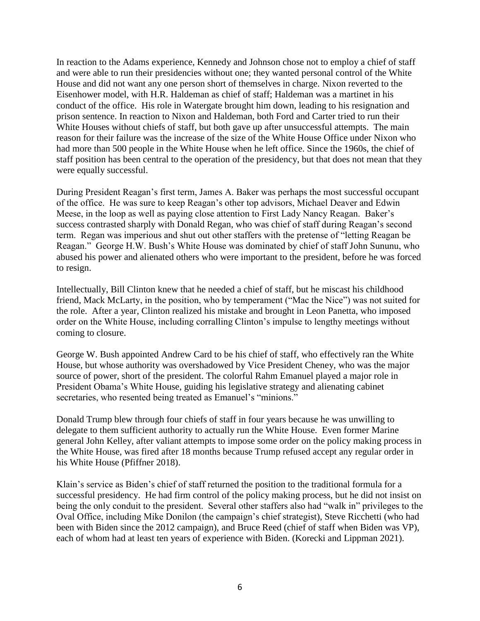In reaction to the Adams experience, Kennedy and Johnson chose not to employ a chief of staff and were able to run their presidencies without one; they wanted personal control of the White House and did not want any one person short of themselves in charge. Nixon reverted to the Eisenhower model, with H.R. Haldeman as chief of staff; Haldeman was a martinet in his conduct of the office. His role in Watergate brought him down, leading to his resignation and prison sentence. In reaction to Nixon and Haldeman, both Ford and Carter tried to run their White Houses without chiefs of staff, but both gave up after unsuccessful attempts. The main reason for their failure was the increase of the size of the White House Office under Nixon who had more than 500 people in the White House when he left office. Since the 1960s, the chief of staff position has been central to the operation of the presidency, but that does not mean that they were equally successful.

During President Reagan's first term, James A. Baker was perhaps the most successful occupant of the office. He was sure to keep Reagan's other top advisors, Michael Deaver and Edwin Meese, in the loop as well as paying close attention to First Lady Nancy Reagan. Baker's success contrasted sharply with Donald Regan, who was chief of staff during Reagan's second term. Regan was imperious and shut out other staffers with the pretense of "letting Reagan be Reagan." George H.W. Bush's White House was dominated by chief of staff John Sununu, who abused his power and alienated others who were important to the president, before he was forced to resign.

Intellectually, Bill Clinton knew that he needed a chief of staff, but he miscast his childhood friend, Mack McLarty, in the position, who by temperament ("Mac the Nice") was not suited for the role. After a year, Clinton realized his mistake and brought in Leon Panetta, who imposed order on the White House, including corralling Clinton's impulse to lengthy meetings without coming to closure.

George W. Bush appointed Andrew Card to be his chief of staff, who effectively ran the White House, but whose authority was overshadowed by Vice President Cheney, who was the major source of power, short of the president. The colorful Rahm Emanuel played a major role in President Obama's White House, guiding his legislative strategy and alienating cabinet secretaries, who resented being treated as Emanuel's "minions."

Donald Trump blew through four chiefs of staff in four years because he was unwilling to delegate to them sufficient authority to actually run the White House. Even former Marine general John Kelley, after valiant attempts to impose some order on the policy making process in the White House, was fired after 18 months because Trump refused accept any regular order in his White House (Pfiffner 2018).

Klain's service as Biden's chief of staff returned the position to the traditional formula for a successful presidency.He had firm control of the policy making process, but he did not insist on being the only conduit to the president. Several other staffers also had "walk in" privileges to the Oval Office, including Mike Donilon (the campaign's chief strategist), Steve Ricchetti (who had been with Biden since the 2012 campaign), and Bruce Reed (chief of staff when Biden was VP), each of whom had at least ten years of experience with Biden. (Korecki and Lippman 2021).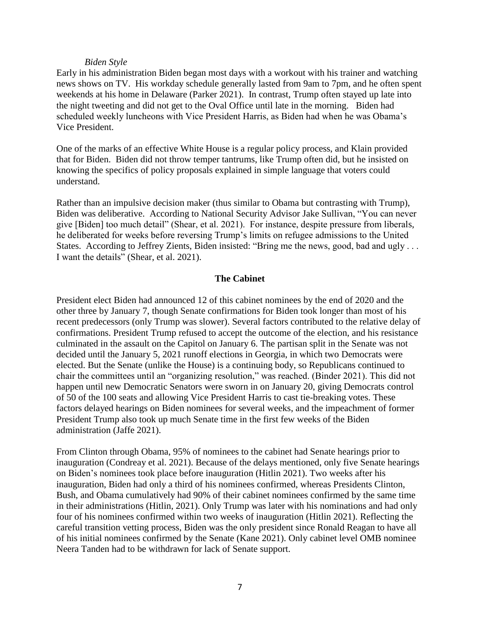#### *Biden Style*

Early in his administration Biden began most days with a workout with his trainer and watching news shows on TV. His workday schedule generally lasted from 9am to 7pm, and he often spent weekends at his home in Delaware (Parker 2021). In contrast, Trump often stayed up late into the night tweeting and did not get to the Oval Office until late in the morning. Biden had scheduled weekly luncheons with Vice President Harris, as Biden had when he was Obama's Vice President.

One of the marks of an effective White House is a regular policy process, and Klain provided that for Biden. Biden did not throw temper tantrums, like Trump often did, but he insisted on knowing the specifics of policy proposals explained in simple language that voters could understand.

Rather than an impulsive decision maker (thus similar to Obama but contrasting with Trump), Biden was deliberative. According to National Security Advisor Jake Sullivan, "You can never give [Biden] too much detail" (Shear, et al. 2021). For instance, despite pressure from liberals, he deliberated for weeks before reversing Trump's limits on refugee admissions to the United States. According to Jeffrey Zients, Biden insisted: "Bring me the news, good, bad and ugly ... I want the details" (Shear, et al. 2021).

## **The Cabinet**

President elect Biden had announced 12 of this cabinet nominees by the end of 2020 and the other three by January 7, though Senate confirmations for Biden took longer than most of his recent predecessors (only Trump was slower). Several factors contributed to the relative delay of confirmations. President Trump refused to accept the outcome of the election, and his resistance culminated in the assault on the Capitol on January 6. The partisan split in the Senate was not decided until the January 5, 2021 runoff elections in Georgia, in which two Democrats were elected. But the Senate (unlike the House) is a continuing body, so Republicans continued to chair the committees until an "organizing resolution," was reached. (Binder 2021). This did not happen until new Democratic Senators were sworn in on January 20, giving Democrats control of 50 of the 100 seats and allowing Vice President Harris to cast tie-breaking votes. These factors delayed hearings on Biden nominees for several weeks, and the impeachment of former President Trump also took up much Senate time in the first few weeks of the Biden administration (Jaffe 2021).

From Clinton through Obama, 95% of nominees to the cabinet had Senate hearings prior to inauguration (Condreay et al. 2021). Because of the delays mentioned, only five Senate hearings on Biden's nominees took place before inauguration (Hitlin 2021). Two weeks after his inauguration, Biden had only a third of his nominees confirmed, whereas Presidents Clinton, Bush, and Obama cumulatively had 90% of their cabinet nominees confirmed by the same time in their administrations (Hitlin, 2021). Only Trump was later with his nominations and had only four of his nominees confirmed within two weeks of inauguration (Hitlin 2021). Reflecting the careful transition vetting process, Biden was the only president since Ronald Reagan to have all of his initial nominees confirmed by the Senate (Kane 2021). Only cabinet level OMB nominee Neera Tanden had to be withdrawn for lack of Senate support.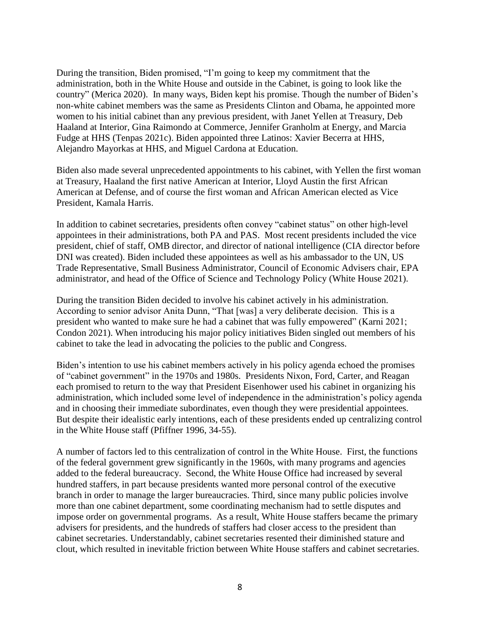During the transition, Biden promised, "I'm going to keep my commitment that the administration, both in the White House and outside in the Cabinet, is going to look like the country" (Merica 2020). In many ways, Biden kept his promise. Though the number of Biden's non-white cabinet members was the same as Presidents Clinton and Obama, he appointed more women to his initial cabinet than any previous president, with Janet Yellen at Treasury, Deb Haaland at Interior, Gina Raimondo at Commerce, Jennifer Granholm at Energy, and Marcia Fudge at HHS (Tenpas 2021c). Biden appointed three Latinos: Xavier Becerra at HHS, Alejandro Mayorkas at HHS, and Miguel Cardona at Education.

Biden also made several unprecedented appointments to his cabinet, with Yellen the first woman at Treasury, Haaland the first native American at Interior, Lloyd Austin the first African American at Defense, and of course the first woman and African American elected as Vice President, Kamala Harris.

In addition to cabinet secretaries, presidents often convey "cabinet status" on other high-level appointees in their administrations, both PA and PAS. Most recent presidents included the vice president, chief of staff, OMB director, and director of national intelligence (CIA director before DNI was created). Biden included these appointees as well as his ambassador to the UN, US Trade Representative, Small Business Administrator, Council of Economic Advisers chair, EPA administrator, and head of the Office of Science and Technology Policy (White House 2021).

During the transition Biden decided to involve his cabinet actively in his administration. According to senior advisor Anita Dunn, "That [was] a very deliberate decision. This is a president who wanted to make sure he had a cabinet that was fully empowered" (Karni 2021; Condon 2021). When introducing his major policy initiatives Biden singled out members of his cabinet to take the lead in advocating the policies to the public and Congress.

Biden's intention to use his cabinet members actively in his policy agenda echoed the promises of "cabinet government" in the 1970s and 1980s. Presidents Nixon, Ford, Carter, and Reagan each promised to return to the way that President Eisenhower used his cabinet in organizing his administration, which included some level of independence in the administration's policy agenda and in choosing their immediate subordinates, even though they were presidential appointees. But despite their idealistic early intentions, each of these presidents ended up centralizing control in the White House staff (Pfiffner 1996, 34-55).

A number of factors led to this centralization of control in the White House. First, the functions of the federal government grew significantly in the 1960s, with many programs and agencies added to the federal bureaucracy. Second, the White House Office had increased by several hundred staffers, in part because presidents wanted more personal control of the executive branch in order to manage the larger bureaucracies. Third, since many public policies involve more than one cabinet department, some coordinating mechanism had to settle disputes and impose order on governmental programs. As a result, White House staffers became the primary advisers for presidents, and the hundreds of staffers had closer access to the president than cabinet secretaries. Understandably, cabinet secretaries resented their diminished stature and clout, which resulted in inevitable friction between White House staffers and cabinet secretaries.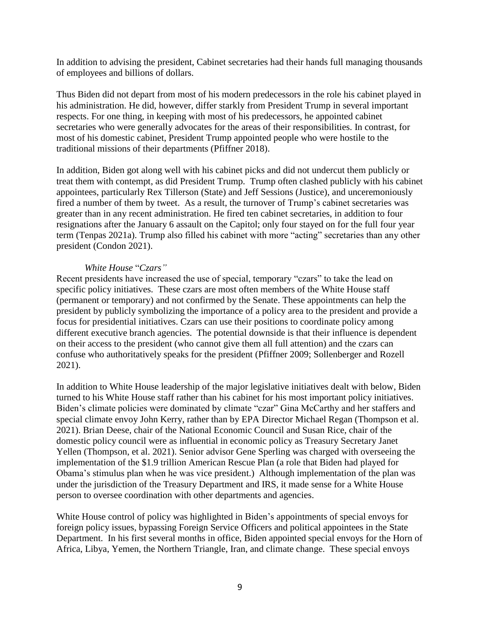In addition to advising the president, Cabinet secretaries had their hands full managing thousands of employees and billions of dollars.

Thus Biden did not depart from most of his modern predecessors in the role his cabinet played in his administration. He did, however, differ starkly from President Trump in several important respects. For one thing, in keeping with most of his predecessors, he appointed cabinet secretaries who were generally advocates for the areas of their responsibilities. In contrast, for most of his domestic cabinet, President Trump appointed people who were hostile to the traditional missions of their departments (Pfiffner 2018).

In addition, Biden got along well with his cabinet picks and did not undercut them publicly or treat them with contempt, as did President Trump. Trump often clashed publicly with his cabinet appointees, particularly Rex Tillerson (State) and Jeff Sessions (Justice), and unceremoniously fired a number of them by tweet. As a result, the turnover of Trump's cabinet secretaries was greater than in any recent administration. He fired ten cabinet secretaries, in addition to four resignations after the January 6 assault on the Capitol; only four stayed on for the full four year term (Tenpas 2021a). Trump also filled his cabinet with more "acting" secretaries than any other president (Condon 2021).

## *White House* "*Czars"*

Recent presidents have increased the use of special, temporary "czars" to take the lead on specific policy initiatives. These czars are most often members of the White House staff (permanent or temporary) and not confirmed by the Senate. These appointments can help the president by publicly symbolizing the importance of a policy area to the president and provide a focus for presidential initiatives. Czars can use their positions to coordinate policy among different executive branch agencies. The potential downside is that their influence is dependent on their access to the president (who cannot give them all full attention) and the czars can confuse who authoritatively speaks for the president (Pfiffner 2009; Sollenberger and Rozell 2021).

In addition to White House leadership of the major legislative initiatives dealt with below, Biden turned to his White House staff rather than his cabinet for his most important policy initiatives. Biden's climate policies were dominated by climate "czar" Gina McCarthy and her staffers and special climate envoy John Kerry, rather than by EPA Director Michael Regan (Thompson et al. 2021). Brian Deese, chair of the National Economic Council and Susan Rice, chair of the domestic policy council were as influential in economic policy as Treasury Secretary Janet Yellen (Thompson, et al. 2021). Senior advisor Gene Sperling was charged with overseeing the implementation of the \$1.9 trillion American Rescue Plan (a role that Biden had played for Obama's stimulus plan when he was vice president.) Although implementation of the plan was under the jurisdiction of the Treasury Department and IRS, it made sense for a White House person to oversee coordination with other departments and agencies.

White House control of policy was highlighted in Biden's appointments of special envoys for foreign policy issues, bypassing Foreign Service Officers and political appointees in the State Department. In his first several months in office, Biden appointed special envoys for the Horn of Africa, Libya, Yemen, the Northern Triangle, Iran, and climate change. These special envoys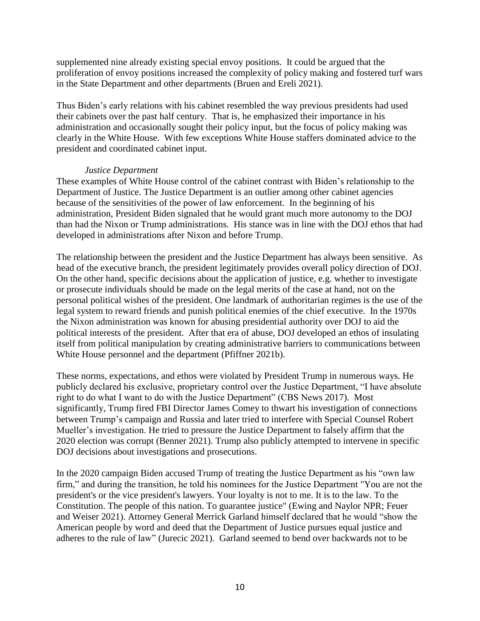supplemented nine already existing special envoy positions. It could be argued that the proliferation of envoy positions increased the complexity of policy making and fostered turf wars in the State Department and other departments (Bruen and Ereli 2021).

Thus Biden's early relations with his cabinet resembled the way previous presidents had used their cabinets over the past half century. That is, he emphasized their importance in his administration and occasionally sought their policy input, but the focus of policy making was clearly in the White House. With few exceptions White House staffers dominated advice to the president and coordinated cabinet input.

## *Justice Department*

These examples of White House control of the cabinet contrast with Biden's relationship to the Department of Justice. The Justice Department is an outlier among other cabinet agencies because of the sensitivities of the power of law enforcement. In the beginning of his administration, President Biden signaled that he would grant much more autonomy to the DOJ than had the Nixon or Trump administrations. His stance was in line with the DOJ ethos that had developed in administrations after Nixon and before Trump.

The relationship between the president and the Justice Department has always been sensitive. As head of the executive branch, the president legitimately provides overall policy direction of DOJ. On the other hand, specific decisions about the application of justice, e.g. whether to investigate or prosecute individuals should be made on the legal merits of the case at hand, not on the personal political wishes of the president. One landmark of authoritarian regimes is the use of the legal system to reward friends and punish political enemies of the chief executive. In the 1970s the Nixon administration was known for abusing presidential authority over DOJ to aid the political interests of the president. After that era of abuse, DOJ developed an ethos of insulating itself from political manipulation by creating administrative barriers to communications between White House personnel and the department (Pfiffner 2021b).

These norms, expectations, and ethos were violated by President Trump in numerous ways. He publicly declared his exclusive, proprietary control over the Justice Department, "I have absolute right to do what I want to do with the Justice Department" (CBS News 2017). Most significantly, Trump fired FBI Director James Comey to thwart his investigation of connections between Trump's campaign and Russia and later tried to interfere with Special Counsel Robert Mueller's investigation. He tried to pressure the Justice Department to falsely affirm that the 2020 election was corrupt (Benner 2021). Trump also publicly attempted to intervene in specific DOJ decisions about investigations and prosecutions.

In the 2020 campaign Biden accused Trump of treating the Justice Department as his "own law firm," and during the transition, he told his nominees for the Justice Department "You are not the president's or the vice president's lawyers. Your loyalty is not to me. It is to the law. To the Constitution. The people of this nation. To guarantee justice" (Ewing and Naylor NPR; Feuer and Weiser 2021). Attorney General Merrick Garland himself declared that he would "show the American people by word and deed that the Department of Justice pursues equal justice and adheres to the rule of law" (Jurecic 2021). Garland seemed to bend over backwards not to be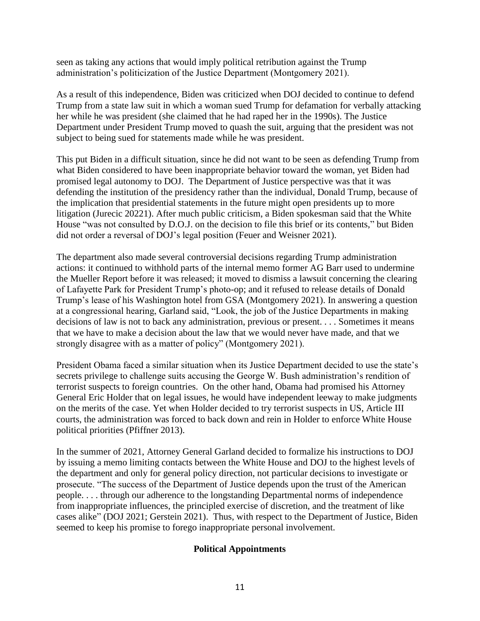seen as taking any actions that would imply political retribution against the Trump administration's politicization of the Justice Department (Montgomery 2021).

As a result of this independence, Biden was criticized when DOJ decided to continue to defend Trump from a state law suit in which a woman sued Trump for defamation for verbally attacking her while he was president (she claimed that he had raped her in the 1990s). The Justice Department under President Trump moved to quash the suit, arguing that the president was not subject to being sued for statements made while he was president.

This put Biden in a difficult situation, since he did not want to be seen as defending Trump from what Biden considered to have been inappropriate behavior toward the woman, yet Biden had promised legal autonomy to DOJ. The Department of Justice perspective was that it was defending the institution of the presidency rather than the individual, Donald Trump, because of the implication that presidential statements in the future might open presidents up to more litigation (Jurecic 20221). After much public criticism, a Biden spokesman said that the White House "was not consulted by D.O.J. on the decision to file this brief or its contents," but Biden did not order a reversal of DOJ's legal position (Feuer and Weisner 2021).

The department also made several controversial decisions regarding Trump administration actions: it continued to withhold parts of the internal memo former AG Barr used to undermine the Mueller Report before it was released; it moved to dismiss a lawsuit concerning the clearing of Lafayette Park for President Trump's photo-op; and it refused to release details of Donald Trump's lease of his Washington hotel from GSA (Montgomery 2021). In answering a question at a congressional hearing, Garland said, "Look, the job of the Justice Departments in making decisions of law is not to back any administration, previous or present. . . . Sometimes it means that we have to make a decision about the law that we would never have made, and that we strongly disagree with as a matter of policy" (Montgomery 2021).

President Obama faced a similar situation when its Justice Department decided to use the state's secrets privilege to challenge suits accusing the George W. Bush administration's rendition of terrorist suspects to foreign countries. On the other hand, Obama had promised his Attorney General Eric Holder that on legal issues, he would have independent leeway to make judgments on the merits of the case. Yet when Holder decided to try terrorist suspects in US, Article III courts, the administration was forced to back down and rein in Holder to enforce White House political priorities (Pfiffner 2013).

In the summer of 2021, Attorney General Garland decided to formalize his instructions to DOJ by issuing a memo limiting contacts between the White House and DOJ to the highest levels of the department and only for general policy direction, not particular decisions to investigate or prosecute. "The success of the Department of Justice depends upon the trust of the American people. . . . through our adherence to the longstanding Departmental norms of independence from inappropriate influences, the principled exercise of discretion, and the treatment of like cases alike" (DOJ 2021; Gerstein 2021). Thus, with respect to the Department of Justice, Biden seemed to keep his promise to forego inappropriate personal involvement.

## **Political Appointments**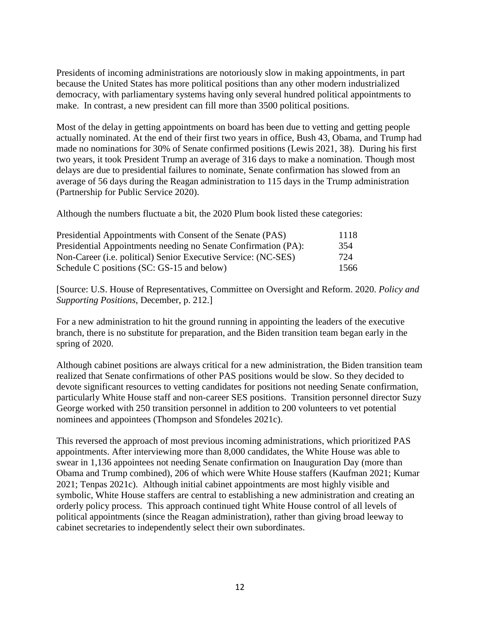Presidents of incoming administrations are notoriously slow in making appointments, in part because the United States has more political positions than any other modern industrialized democracy, with parliamentary systems having only several hundred political appointments to make. In contrast, a new president can fill more than 3500 political positions.

Most of the delay in getting appointments on board has been due to vetting and getting people actually nominated. At the end of their first two years in office, Bush 43, Obama, and Trump had made no nominations for 30% of Senate confirmed positions (Lewis 2021, 38). During his first two years, it took President Trump an average of 316 days to make a nomination. Though most delays are due to presidential failures to nominate, Senate confirmation has slowed from an average of 56 days during the Reagan administration to 115 days in the Trump administration (Partnership for Public Service 2020).

Although the numbers fluctuate a bit, the 2020 Plum book listed these categories:

| Presidential Appointments with Consent of the Senate (PAS)                                                                                                                              | 1118       |
|-----------------------------------------------------------------------------------------------------------------------------------------------------------------------------------------|------------|
| Presidential Appointments needing no Senate Confirmation (PA):<br>Non-Career ( <i>i.e. political</i> ) Senior Executive Service: (NC-SES)<br>Schedule C positions (SC: GS-15 and below) | 354<br>724 |
|                                                                                                                                                                                         |            |

[Source: U.S. House of Representatives, Committee on Oversight and Reform. 2020. *Policy and Supporting Positions*, December, p. 212.]

For a new administration to hit the ground running in appointing the leaders of the executive branch, there is no substitute for preparation, and the Biden transition team began early in the spring of 2020.

Although cabinet positions are always critical for a new administration, the Biden transition team realized that Senate confirmations of other PAS positions would be slow. So they decided to devote significant resources to vetting candidates for positions not needing Senate confirmation, particularly White House staff and non-career SES positions. Transition personnel director Suzy George worked with 250 transition personnel in addition to 200 volunteers to vet potential nominees and appointees (Thompson and Sfondeles 2021c).

This reversed the approach of most previous incoming administrations, which prioritized PAS appointments. After interviewing more than 8,000 candidates, the White House was able to swear in 1,136 appointees not needing Senate confirmation on Inauguration Day (more than Obama and Trump combined), 206 of which were White House staffers (Kaufman 2021; Kumar 2021; Tenpas 2021c). Although initial cabinet appointments are most highly visible and symbolic, White House staffers are central to establishing a new administration and creating an orderly policy process. This approach continued tight White House control of all levels of political appointments (since the Reagan administration), rather than giving broad leeway to cabinet secretaries to independently select their own subordinates.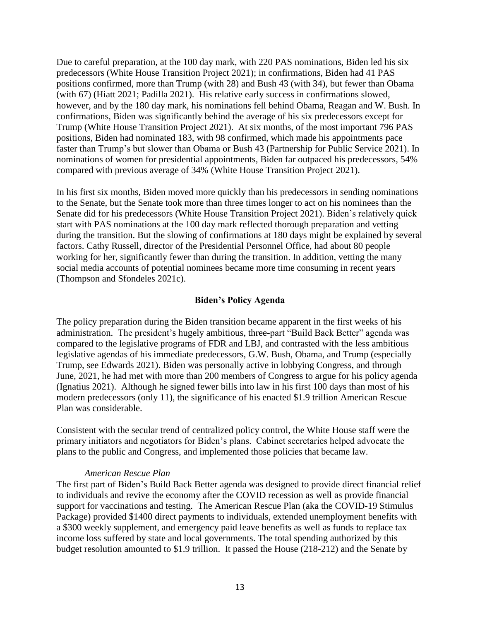Due to careful preparation, at the 100 day mark, with 220 PAS nominations, Biden led his six predecessors (White House Transition Project 2021); in confirmations, Biden had 41 PAS positions confirmed, more than Trump (with 28) and Bush 43 (with 34), but fewer than Obama (with 67) (Hiatt 2021; Padilla 2021). His relative early success in confirmations slowed, however, and by the 180 day mark, his nominations fell behind Obama, Reagan and W. Bush. In confirmations, Biden was significantly behind the average of his six predecessors except for Trump (White House Transition Project 2021). At six months, of the most important 796 PAS positions, Biden had nominated 183, with 98 confirmed, which made his appointments pace faster than Trump's but slower than Obama or Bush 43 (Partnership for Public Service 2021). In nominations of women for presidential appointments, Biden far outpaced his predecessors, 54% compared with previous average of 34% (White House Transition Project 2021).

In his first six months, Biden moved more quickly than his predecessors in sending nominations to the Senate, but the Senate took more than three times longer to act on his nominees than the Senate did for his predecessors (White House Transition Project 2021). Biden's relatively quick start with PAS nominations at the 100 day mark reflected thorough preparation and vetting during the transition. But the slowing of confirmations at 180 days might be explained by several factors. Cathy Russell, director of the Presidential Personnel Office, had about 80 people working for her, significantly fewer than during the transition. In addition, vetting the many social media accounts of potential nominees became more time consuming in recent years (Thompson and Sfondeles 2021c).

## **Biden's Policy Agenda**

The policy preparation during the Biden transition became apparent in the first weeks of his administration. The president's hugely ambitious, three-part "Build Back Better" agenda was compared to the legislative programs of FDR and LBJ, and contrasted with the less ambitious legislative agendas of his immediate predecessors, G.W. Bush, Obama, and Trump (especially Trump, see Edwards 2021). Biden was personally active in lobbying Congress, and through June, 2021, he had met with more than 200 members of Congress to argue for his policy agenda (Ignatius 2021). Although he signed fewer bills into law in his first 100 days than most of his modern predecessors (only 11), the significance of his enacted \$1.9 trillion American Rescue Plan was considerable.

Consistent with the secular trend of centralized policy control, the White House staff were the primary initiators and negotiators for Biden's plans. Cabinet secretaries helped advocate the plans to the public and Congress, and implemented those policies that became law.

## *American Rescue Plan*

The first part of Biden's Build Back Better agenda was designed to provide direct financial relief to individuals and revive the economy after the COVID recession as well as provide financial support for vaccinations and testing. The American Rescue Plan (aka the COVID-19 Stimulus Package) provided \$1400 direct payments to individuals, extended unemployment benefits with a \$300 weekly supplement, and emergency paid leave benefits as well as funds to replace tax income loss suffered by state and local governments. The total spending authorized by this budget resolution amounted to \$1.9 trillion. It passed the House (218-212) and the Senate by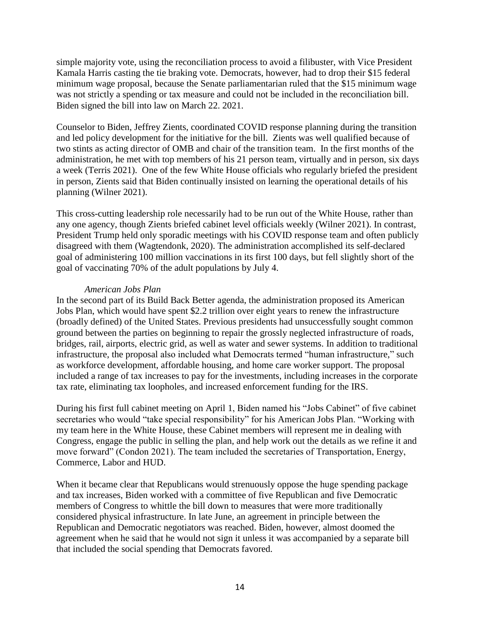simple majority vote, using the reconciliation process to avoid a filibuster, with Vice President Kamala Harris casting the tie braking vote. Democrats, however, had to drop their \$15 federal minimum wage proposal, because the Senate parliamentarian ruled that the \$15 minimum wage was not strictly a spending or tax measure and could not be included in the reconciliation bill. Biden signed the bill into law on March 22. 2021.

Counselor to Biden, Jeffrey Zients, coordinated COVID response planning during the transition and led policy development for the initiative for the bill. Zients was well qualified because of two stints as acting director of OMB and chair of the transition team. In the first months of the administration, he met with top members of his 21 person team, virtually and in person, six days a week (Terris 2021). One of the few White House officials who regularly briefed the president in person, Zients said that Biden continually insisted on learning the operational details of his planning (Wilner 2021).

This cross-cutting leadership role necessarily had to be run out of the White House, rather than any one agency, though Zients briefed cabinet level officials weekly (Wilner 2021). In contrast, President Trump held only sporadic meetings with his COVID response team and often publicly disagreed with them (Wagtendonk, 2020). The administration accomplished its self-declared goal of administering 100 million vaccinations in its first 100 days, but fell slightly short of the goal of vaccinating 70% of the adult populations by July 4.

## *American Jobs Plan*

In the second part of its Build Back Better agenda, the administration proposed its American Jobs Plan, which would have spent \$2.2 trillion over eight years to renew the infrastructure (broadly defined) of the United States. Previous presidents had unsuccessfully sought common ground between the parties on beginning to repair the grossly neglected infrastructure of roads, bridges, rail, airports, electric grid, as well as water and sewer systems. In addition to traditional infrastructure, the proposal also included what Democrats termed "human infrastructure," such as workforce development, affordable housing, and home care worker support. The proposal included a range of tax increases to pay for the investments, including increases in the corporate tax rate, eliminating tax loopholes, and increased enforcement funding for the IRS.

During his first full cabinet meeting on April 1, Biden named his "Jobs Cabinet" of five cabinet secretaries who would "take special responsibility" for his American Jobs Plan. "Working with my team here in the White House, these Cabinet members will represent me in dealing with Congress, engage the public in selling the plan, and help work out the details as we refine it and move forward" (Condon 2021). The team included the secretaries of Transportation, Energy, Commerce, Labor and HUD.

When it became clear that Republicans would strenuously oppose the huge spending package and tax increases, Biden worked with a committee of five Republican and five Democratic members of Congress to whittle the bill down to measures that were more traditionally considered physical infrastructure. In late June, an agreement in principle between the Republican and Democratic negotiators was reached. Biden, however, almost doomed the agreement when he said that he would not sign it unless it was accompanied by a separate bill that included the social spending that Democrats favored.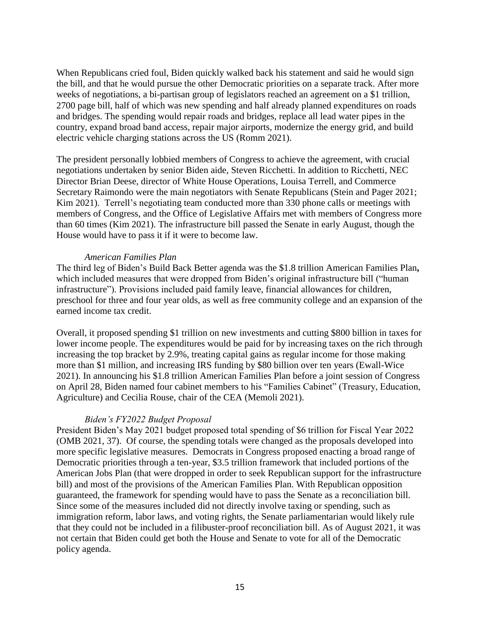When Republicans cried foul, Biden quickly walked back his statement and said he would sign the bill, and that he would pursue the other Democratic priorities on a separate track. After more weeks of negotiations, a bi-partisan group of legislators reached an agreement on a \$1 trillion, 2700 page bill, half of which was new spending and half already planned expenditures on roads and bridges. The spending would repair roads and bridges, replace all lead water pipes in the country, expand broad band access, repair major airports, modernize the energy grid, and build electric vehicle charging stations across the US (Romm 2021).

The president personally lobbied members of Congress to achieve the agreement, with crucial negotiations undertaken by senior Biden aide, Steven Ricchetti. In addition to Ricchetti, NEC Director Brian Deese, director of White House Operations, Louisa Terrell, and Commerce Secretary Raimondo were the main negotiators with Senate Republicans (Stein and Pager 2021; Kim 2021). Terrell's negotiating team conducted more than 330 phone calls or meetings with members of Congress, and the Office of Legislative Affairs met with members of Congress more than 60 times (Kim 2021). The infrastructure bill passed the Senate in early August, though the House would have to pass it if it were to become law.

#### *American Families Plan*

The third leg of Biden's Build Back Better agenda was the \$1.8 trillion American Families Plan**,** which included measures that were dropped from Biden's original infrastructure bill ("human infrastructure"). Provisions included paid family leave, financial allowances for children, preschool for three and four year olds, as well as free community college and an expansion of the earned income tax credit.

Overall, it proposed spending \$1 trillion on new investments and cutting \$800 billion in taxes for lower income people. The expenditures would be paid for by increasing taxes on the rich through increasing the top bracket by 2.9%, treating capital gains as regular income for those making more than \$1 million, and increasing IRS funding by \$80 billion over ten years (Ewall-Wice 2021). In announcing his \$1.8 trillion American Families Plan before a joint session of Congress on April 28, Biden named four cabinet members to his "Families Cabinet" (Treasury, Education, Agriculture) and Cecilia Rouse, chair of the CEA (Memoli 2021).

## *Biden's FY2022 Budget Proposal*

President Biden's May 2021 budget proposed total spending of \$6 trillion for Fiscal Year 2022 (OMB 2021, 37). Of course, the spending totals were changed as the proposals developed into more specific legislative measures. Democrats in Congress proposed enacting a broad range of Democratic priorities through a ten-year, \$3.5 trillion framework that included portions of the American Jobs Plan (that were dropped in order to seek Republican support for the infrastructure bill) and most of the provisions of the American Families Plan. With Republican opposition guaranteed, the framework for spending would have to pass the Senate as a reconciliation bill. Since some of the measures included did not directly involve taxing or spending, such as immigration reform, labor laws, and voting rights, the Senate parliamentarian would likely rule that they could not be included in a filibuster-proof reconciliation bill. As of August 2021, it was not certain that Biden could get both the House and Senate to vote for all of the Democratic policy agenda.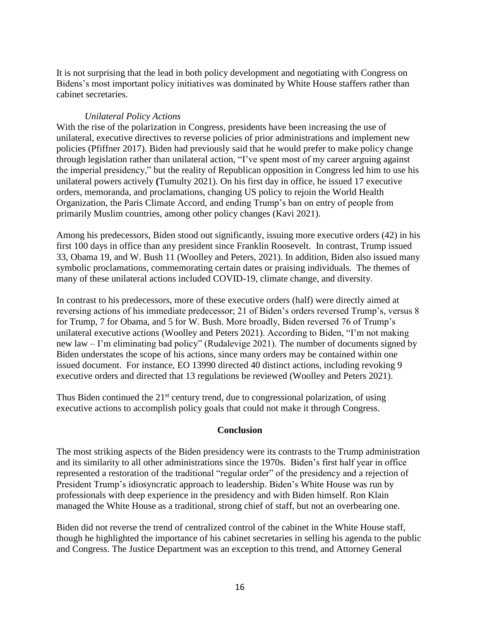It is not surprising that the lead in both policy development and negotiating with Congress on Bidens's most important policy initiatives was dominated by White House staffers rather than cabinet secretaries.

## *Unilateral Policy Actions*

With the rise of the polarization in Congress, presidents have been increasing the use of unilateral, executive directives to reverse policies of prior administrations and implement new policies (Pfiffner 2017). Biden had previously said that he would prefer to make policy change through legislation rather than unilateral action, "I've spent most of my career arguing against the imperial presidency," but the reality of Republican opposition in Congress led him to use his unilateral powers actively **(**Tumulty 2021). On his first day in office, he issued 17 executive orders, memoranda, and proclamations, changing US policy to rejoin the World Health Organization, the Paris Climate Accord, and ending Trump's ban on entry of people from primarily Muslim countries, among other policy changes (Kavi 2021).

Among his predecessors, Biden stood out significantly, issuing more executive orders (42) in his first 100 days in office than any president since Franklin Roosevelt. In contrast, Trump issued 33, Obama 19, and W. Bush 11 (Woolley and Peters, 2021). In addition, Biden also issued many symbolic proclamations, commemorating certain dates or praising individuals. The themes of many of these unilateral actions included COVID-19, climate change, and diversity.

In contrast to his predecessors, more of these executive orders (half) were directly aimed at reversing actions of his immediate predecessor; 21 of Biden's orders reversed Trump's, versus 8 for Trump, 7 for Obama, and 5 for W. Bush. More broadly, Biden reversed 76 of Trump's unilateral executive actions (Woolley and Peters 2021). According to Biden, "I'm not making new law – I'm eliminating bad policy" (Rudalevige 2021). The number of documents signed by Biden understates the scope of his actions, since many orders may be contained within one issued document. For instance, EO 13990 directed 40 distinct actions, including revoking 9 executive orders and directed that 13 regulations be reviewed (Woolley and Peters 2021).

Thus Biden continued the  $21<sup>st</sup>$  century trend, due to congressional polarization, of using executive actions to accomplish policy goals that could not make it through Congress.

## **Conclusion**

The most striking aspects of the Biden presidency were its contrasts to the Trump administration and its similarity to all other administrations since the 1970s. Biden's first half year in office represented a restoration of the traditional "regular order" of the presidency and a rejection of President Trump's idiosyncratic approach to leadership. Biden's White House was run by professionals with deep experience in the presidency and with Biden himself. Ron Klain managed the White House as a traditional, strong chief of staff, but not an overbearing one.

Biden did not reverse the trend of centralized control of the cabinet in the White House staff, though he highlighted the importance of his cabinet secretaries in selling his agenda to the public and Congress. The Justice Department was an exception to this trend, and Attorney General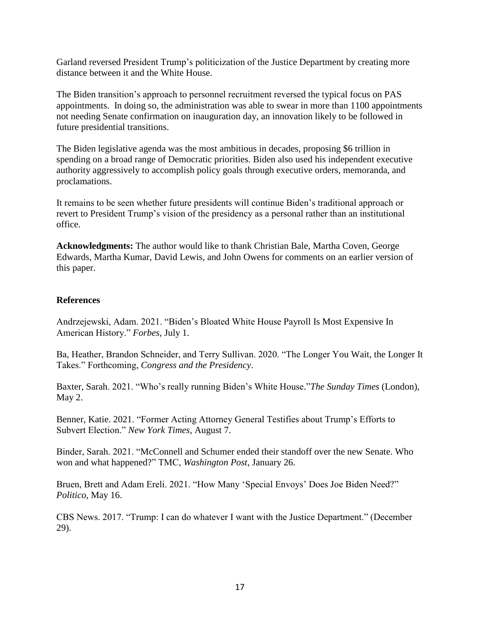Garland reversed President Trump's politicization of the Justice Department by creating more distance between it and the White House.

The Biden transition's approach to personnel recruitment reversed the typical focus on PAS appointments. In doing so, the administration was able to swear in more than 1100 appointments not needing Senate confirmation on inauguration day, an innovation likely to be followed in future presidential transitions.

The Biden legislative agenda was the most ambitious in decades, proposing \$6 trillion in spending on a broad range of Democratic priorities. Biden also used his independent executive authority aggressively to accomplish policy goals through executive orders, memoranda, and proclamations.

It remains to be seen whether future presidents will continue Biden's traditional approach or revert to President Trump's vision of the presidency as a personal rather than an institutional office.

**Acknowledgments:** The author would like to thank Christian Bale, Martha Coven, George Edwards, Martha Kumar, David Lewis, and John Owens for comments on an earlier version of this paper.

## **References**

Andrzejewski, Adam. 2021. "Biden's Bloated White House Payroll Is Most Expensive In American History." *Forbes,* July 1.

Ba, Heather, Brandon Schneider, and Terry Sullivan. 2020. "The Longer You Wait, the Longer It Takes." Forthcoming, *Congress and the Presidency*.

Baxter, Sarah. 2021. "Who's really running Biden's White House."*The Sunday Times* (London), May 2.

Benner, Katie. 2021. "Former Acting Attorney General Testifies about Trump's Efforts to Subvert Election." *New York Times*, August 7.

Binder, Sarah. 2021. "McConnell and Schumer ended their standoff over the new Senate. Who won and what happened?" TMC, *Washington Post*, January 26.

Bruen, Brett and Adam Ereli. 2021. "How Many 'Special Envoys' Does Joe Biden Need?" *Politico*, May 16.

CBS News. 2017. "Trump: I can do whatever I want with the Justice Department." (December 29).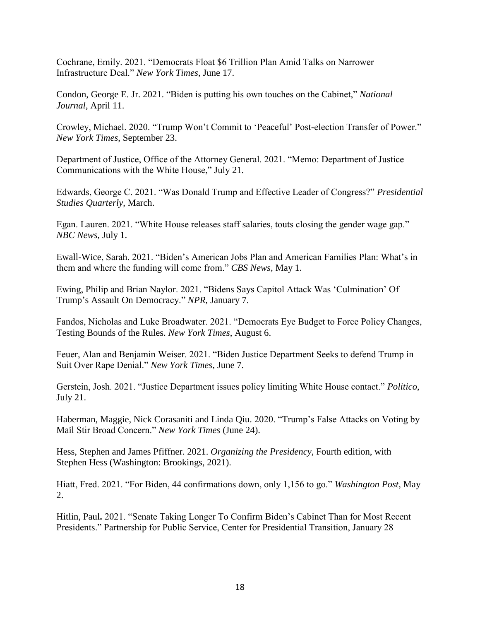Cochrane, Emily. 2021. "Democrats Float \$6 Trillion Plan Amid Talks on Narrower Infrastructure Deal." *New York Times*, June 17.

Condon, George E. Jr. 2021. "Biden is putting his own touches on the Cabinet," *National Journal*, April 11.

Crowley, Michael. 2020. "Trump Won't Commit to 'Peaceful' Post-election Transfer of Power." *New York Times*, September 23.

Department of Justice, Office of the Attorney General. 2021. "Memo: Department of Justice Communications with the White House," July 21.

Edwards, George C. 2021. "Was Donald Trump and Effective Leader of Congress?" *Presidential Studies Quarterly*, March.

Egan. Lauren. 2021. "White House releases staff salaries, touts closing the gender wage gap." *NBC News*, July 1.

Ewall-Wice, Sarah. 2021. "Biden's American Jobs Plan and American Families Plan: What's in them and where the funding will come from." *CBS News,* May 1.

Ewing, Philip and Brian Naylor. 2021. "Bidens Says Capitol Attack Was 'Culmination' Of Trump's Assault On Democracy." *NPR*, January 7.

Fandos, Nicholas and Luke Broadwater. 2021. "Democrats Eye Budget to Force Policy Changes, Testing Bounds of the Rules. *New York Times*, August 6.

Feuer, Alan and Benjamin Weiser. 2021. "Biden Justice Department Seeks to defend Trump in Suit Over Rape Denial." *New York Times*, June 7.

Gerstein, Josh. 2021. "Justice Department issues policy limiting White House contact." *Politico*, July 21.

Haberman, Maggie, Nick Corasaniti and Linda Qiu. 2020. "Trump's False Attacks on Voting by Mail Stir Broad Concern." *New York Times* (June 24).

Hess, Stephen and James Pfiffner. 2021. *Organizing the Presidency*, Fourth edition, with Stephen Hess (Washington: Brookings, 2021).

Hiatt, Fred. 2021. "For Biden, 44 confirmations down, only 1,156 to go." *Washington Post*, May 2.

Hitlin, Paul**.** 2021. "Senate Taking Longer To Confirm Biden's Cabinet Than for Most Recent Presidents." Partnership for Public Service, Center for Presidential Transition, January 28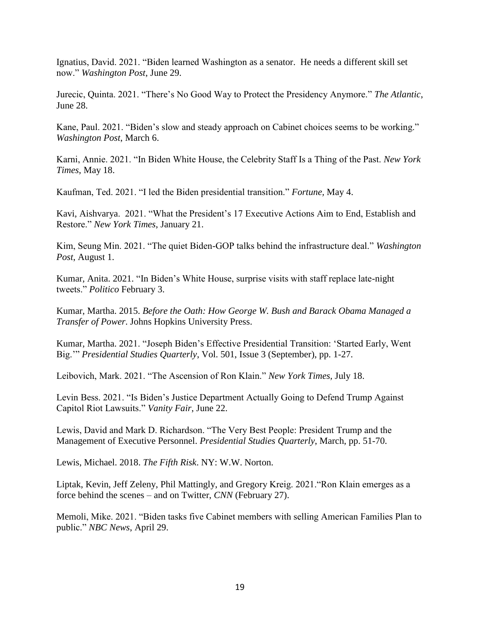Ignatius, David. 2021. "Biden learned Washington as a senator. He needs a different skill set now." *Washington Post*, June 29.

Jurecic, Quinta. 2021. "There's No Good Way to Protect the Presidency Anymore." *The Atlantic*, June 28.

Kane, Paul. 2021. "Biden's slow and steady approach on Cabinet choices seems to be working." *Washington Post*, March 6.

Karni, Annie. 2021. "In Biden White House, the Celebrity Staff Is a Thing of the Past. *New York Times*, May 18.

Kaufman, Ted. 2021. "I led the Biden presidential transition." *Fortune,* May 4.

Kavi, Aishvarya. 2021. "What the President's 17 Executive Actions Aim to End, Establish and Restore." *New York Times*, January 21.

Kim, Seung Min. 2021. "The quiet Biden-GOP talks behind the infrastructure deal." *Washington Post*, August 1.

Kumar, Anita. 2021. "In Biden's White House, surprise visits with staff replace late-night tweets." *Politico* February 3.

Kumar, Martha. 2015. *Before the Oath: How George W. Bush and Barack Obama Managed a Transfer of Power*. Johns Hopkins University Press.

Kumar, Martha. 2021. "Joseph Biden's Effective Presidential Transition: 'Started Early, Went Big.'" *Presidential Studies Quarterly*, Vol. 501, Issue 3 (September), pp. 1-27.

Leibovich, Mark. 2021. "The Ascension of Ron Klain." *New York Times,* July 18.

Levin Bess. 2021. "Is Biden's Justice Department Actually Going to Defend Trump Against Capitol Riot Lawsuits." *Vanity Fair*, June 22.

Lewis, David and Mark D. Richardson. "The Very Best People: President Trump and the Management of Executive Personnel. *Presidential Studies Quarterly*, March, pp. 51-70.

Lewis, Michael. 2018. *The Fifth Risk*. NY: W.W. Norton.

Liptak, Kevin, Jeff Zeleny, Phil Mattingly, and Gregory Kreig. 2021."Ron Klain emerges as a force behind the scenes – and on Twitter, *CNN* (February 27).

Memoli, Mike. 2021. "Biden tasks five Cabinet members with selling American Families Plan to public." *NBC News*, April 29.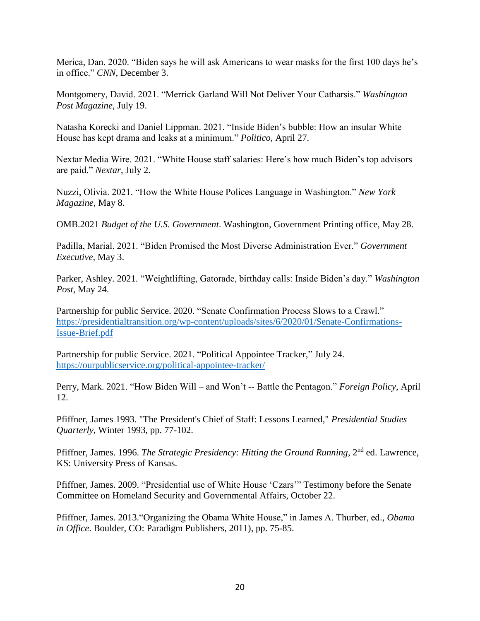Merica, Dan. 2020. "Biden says he will ask Americans to wear masks for the first 100 days he's in office." *CNN,* December 3.

Montgomery, David. 2021. "Merrick Garland Will Not Deliver Your Catharsis." *Washington Post Magazine*, July 19.

Natasha Korecki and Daniel Lippman. 2021. "Inside Biden's bubble: How an insular White House has kept drama and leaks at a minimum." *Politico*, April 27.

Nextar Media Wire. 2021. "White House staff salaries: Here's how much Biden's top advisors are paid." *Nextar*, July 2.

Nuzzi, Olivia. 2021. "How the White House Polices Language in Washington." *New York Magazine*, May 8.

OMB.2021 *Budget of the U.S. Government*. Washington, Government Printing office, May 28.

Padilla, Marial. 2021. "Biden Promised the Most Diverse Administration Ever." *Government Executive*, May 3.

Parker, Ashley. 2021. "Weightlifting, Gatorade, birthday calls: Inside Biden's day." *Washington Post*, May 24.

Partnership for public Service. 2020. "Senate Confirmation Process Slows to a Crawl." [https://presidentialtransition.org/wp-content/uploads/sites/6/2020/01/Senate-Confirmations-](https://presidentialtransition.org/wp-content/uploads/sites/6/2020/01/Senate-Confirmations-Issue-Brief.pdf)[Issue-Brief.pdf](https://presidentialtransition.org/wp-content/uploads/sites/6/2020/01/Senate-Confirmations-Issue-Brief.pdf)

Partnership for public Service. 2021. "Political Appointee Tracker," July 24. <https://ourpublicservice.org/political-appointee-tracker/>

Perry, Mark. 2021. "How Biden Will – and Won't -- Battle the Pentagon." *Foreign Policy*, April 12.

Pfiffner, James 1993. "The President's Chief of Staff: Lessons Learned," *Presidential Studies Quarterly*, Winter 1993, pp. 77-102.

Pfiffner, James. 1996. *The Strategic Presidency: Hitting the Ground Running*, 2<sup>nd</sup> ed. Lawrence. KS: University Press of Kansas.

Pfiffner, James. 2009. "Presidential use of White House 'Czars'" Testimony before the Senate Committee on Homeland Security and Governmental Affairs, October 22.

Pfiffner, James. 2013."Organizing the Obama White House," in James A. Thurber, ed., *Obama in Office*. Boulder, CO: Paradigm Publishers, 2011), pp. 75-85.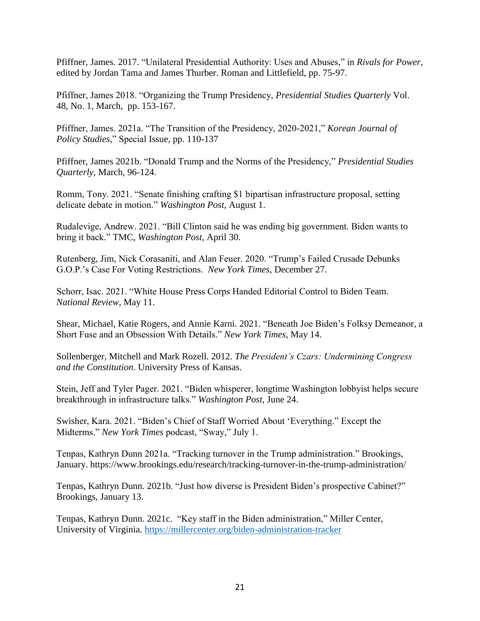Pfiffner, James. 2017. "Unilateral Presidential Authority: Uses and Abuses," in *Rivals for Power*, edited by Jordan Tama and James Thurber. Roman and Littlefield, pp. 75-97.

Pfiffner, James 2018. "Organizing the Trump Presidency, *Presidential Studies Quarterly* Vol. 48, No. 1, March, pp. 153-167.

Pfiffner, James. 2021a. "The Transition of the Presidency, 2020-2021," *Korean Journal of Policy Studies*," Special Issue, pp. 110-137

Pfiffner, James 2021b. "Donald Trump and the Norms of the Presidency," *Presidential Studies Quarterly*, March, 96-124.

Romm, Tony. 2021. "Senate finishing crafting \$1 bipartisan infrastructure proposal, setting delicate debate in motion." *Washington Post,* August 1.

Rudalevige, Andrew. 2021. "Bill Clinton said he was ending big government. Biden wants to bring it back." TMC, *Washington Post*, April 30.

Rutenberg, Jim, Nick Corasaniti, and Alan Feuer. 2020. "Trump's Failed Crusade Debunks G.O.P.'s Case For Voting Restrictions. *New York Times*, December 27.

Schorr, Isac. 2021. "White House Press Corps Handed Editorial Control to Biden Team. *National Review*, May 11.

Shear, Michael, Katie Rogers, and Annie Karni. 2021. "Beneath Joe Biden's Folksy Demeanor, a Short Fuse and an Obsession With Details." *New York Times*, May 14.

Sollenberger, Mitchell and Mark Rozell. 2012. *The President's Czars: Undermining Congress and the Constitution*. University Press of Kansas.

Stein, Jeff and Tyler Pager. 2021. "Biden whisperer, longtime Washington lobbyist helps secure breakthrough in infrastructure talks." *Washington Post,* June 24.

Swisher, Kara. 2021. "Biden's Chief of Staff Worried About 'Everything." Except the Midterms." *New York Times* podcast, "Sway," July 1.

Tenpas, Kathryn Dunn 2021a. "Tracking turnover in the Trump administration." Brookings, January. https://www.brookings.edu/research/tracking-turnover-in-the-trump-administration/

Tenpas, Kathryn Dunn. 2021b. "Just how diverse is President Biden's prospective Cabinet?" Brookings, January 13.

Tenpas, Kathryn Dunn. 2021c. "Key staff in the Biden administration," Miller Center, University of Virginia. <https://millercenter.org/biden-administration-tracker>